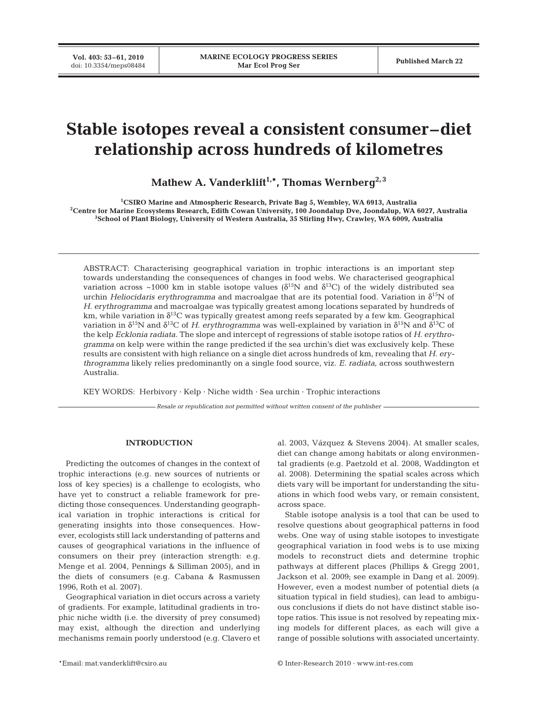**Vol. 403: 53–61, 2010**

# **Stable isotopes reveal a consistent consumer–diet relationship across hundreds of kilometres**

Mathew A. Vanderklift<sup>1,\*</sup>, Thomas Wernberg<sup>2,3</sup>

<sup>1</sup>CSIRO Marine and Atmospheric Research, Private Bag 5, Wembley, WA 6913, Australia **CSIRO Marine and Atmospheric Research, Private Bag 5, Wembley, WA 6913, Australia 2 Centre for Marine Ecosystems Research, Edith Cowan University, 100 Joondalup Dve, Joondalup, WA 6027, Australia 3 School of Plant Biology, University of Western Australia, 35 Stirling Hwy, Crawley, WA 6009, Australia**

ABSTRACT: Characterising geographical variation in trophic interactions is an important step towards understanding the consequences of changes in food webs. We characterised geographical variation across ~1000 km in stable isotope values ( $\delta^{15}$ N and  $\delta^{13}$ C) of the widely distributed sea urchin *Heliocidaris erythrogramma* and macroalgae that are its potential food. Variation in δ<sup>15</sup>N of *H. erythrogramma* and macroalgae was typically greatest among locations separated by hundreds of km, while variation in  $\delta^{13}C$  was typically greatest among reefs separated by a few km. Geographical variation in  $\delta^{15}N$  and  $\delta^{13}C$  of *H. erythrogramma* was well-explained by variation in  $\delta^{15}N$  and  $\delta^{13}C$  of the kelp *Ecklonia radiata*. The slope and intercept of regressions of stable isotope ratios of *H. erythrogramma* on kelp were within the range predicted if the sea urchin's diet was exclusively kelp. These results are consistent with high reliance on a single diet across hundreds of km, revealing that *H. erythrogramma* likely relies predominantly on a single food source, viz. *E. radiata,* across southwestern Australia.

KEY WORDS: Herbivory · Kelp · Niche width · Sea urchin · Trophic interactions

*Resale or republication not permitted without written consent of the publisher*

# **INTRODUCTION**

Predicting the outcomes of changes in the context of trophic interactions (e.g. new sources of nutrients or loss of key species) is a challenge to ecologists, who have yet to construct a reliable framework for predicting those consequences. Understanding geographical variation in trophic interactions is critical for generating insights into those consequences. However, ecologists still lack understanding of patterns and causes of geographical variations in the influence of consumers on their prey (interaction strength: e.g. Menge et al. 2004, Pennings & Silliman 2005), and in the diets of consumers (e.g. Cabana & Rasmussen 1996, Roth et al. 2007).

Geographical variation in diet occurs across a variety of gradients. For example, latitudinal gradients in trophic niche width (i.e. the diversity of prey consumed) may exist, although the direction and underlying mechanisms remain poorly understood (e.g. Clavero et

al. 2003, Vázquez & Stevens 2004). At smaller scales, diet can change among habitats or along environmental gradients (e.g. Paetzold et al. 2008, Waddington et al. 2008). Determining the spatial scales across which diets vary will be important for understanding the situations in which food webs vary, or remain consistent, across space.

Stable isotope analysis is a tool that can be used to resolve questions about geographical patterns in food webs. One way of using stable isotopes to investigate geographical variation in food webs is to use mixing models to reconstruct diets and determine trophic pathways at different places (Phillips & Gregg 2001, Jackson et al. 2009; see example in Dang et al. 2009). However, even a modest number of potential diets (a situation typical in field studies), can lead to ambiguous conclusions if diets do not have distinct stable isotope ratios. This issue is not resolved by repeating mixing models for different places, as each will give a range of possible solutions with associated uncertainty.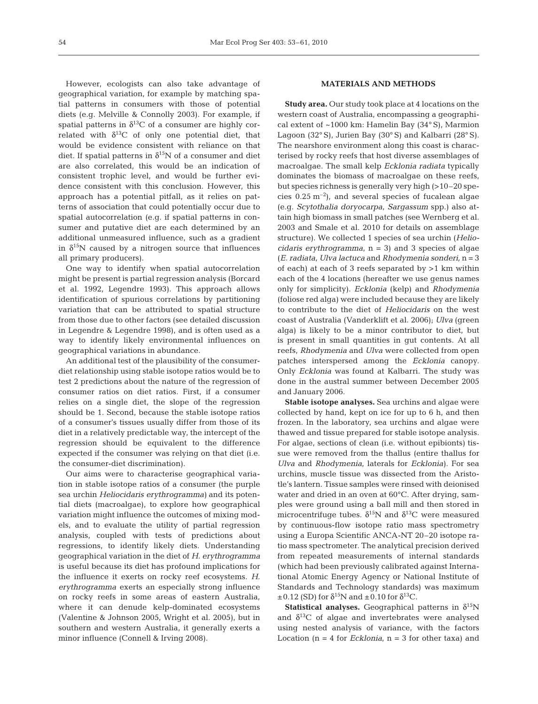However, ecologists can also take advantage of geographical variation, for example by matching spatial patterns in consumers with those of potential diets (e.g. Melville & Connolly 2003). For example, if spatial patterns in  $\delta^{13}$ C of a consumer are highly correlated with  $\delta^{13}C$  of only one potential diet, that would be evidence consistent with reliance on that diet. If spatial patterns in  $\delta^{15}N$  of a consumer and diet are also correlated, this would be an indication of consistent trophic level, and would be further evidence consistent with this conclusion. However, this approach has a potential pitfall, as it relies on patterns of association that could potentially occur due to spatial autocorrelation (e.g. if spatial patterns in consumer and putative diet are each determined by an additional unmeasured influence, such as a gradient in  $\delta^{15}N$  caused by a nitrogen source that influences all primary producers).

One way to identify when spatial autocorrelation might be present is partial regression analysis (Borcard et al. 1992, Legendre 1993). This approach allows identification of spurious correlations by partitioning variation that can be attributed to spatial structure from those due to other factors (see detailed discussion in Legendre & Legendre 1998), and is often used as a way to identify likely environmental influences on geographical variations in abundance.

An additional test of the plausibility of the consumerdiet relationship using stable isotope ratios would be to test 2 predictions about the nature of the regression of consumer ratios on diet ratios. First, if a consumer relies on a single diet, the slope of the regression should be 1. Second, because the stable isotope ratios of a consumer's tissues usually differ from those of its diet in a relatively predictable way, the intercept of the regression should be equivalent to the difference expected if the consumer was relying on that diet (i.e. the consumer-diet discrimination).

Our aims were to characterise geographical variation in stable isotope ratios of a consumer (the purple sea urchin *Heliocidaris erythrogramma)* and its potential diets (macroalgae), to explore how geographical variation might influence the outcomes of mixing models, and to evaluate the utility of partial regression analysis, coupled with tests of predictions about regressions, to identify likely diets. Understanding geographical variation in the diet of *H. erythrogramma* is useful because its diet has profound implications for the influence it exerts on rocky reef ecosystems. *H. erythrogramma* exerts an especially strong influence on rocky reefs in some areas of eastern Australia, where it can denude kelp-dominated ecosystems (Valentine & Johnson 2005, Wright et al. 2005), but in southern and western Australia, it generally exerts a minor influence (Connell & Irving 2008).

# **MATERIALS AND METHODS**

**Study area.** Our study took place at 4 locations on the western coast of Australia, encompassing a geographical extent of ~1000 km: Hamelin Bay (34° S), Marmion Lagoon (32° S), Jurien Bay (30° S) and Kalbarri (28° S). The nearshore environment along this coast is characterised by rocky reefs that host diverse assemblages of macroalgae. The small kelp *Ecklonia radiata* typically dominates the biomass of macroalgae on these reefs, but species richness is generally very high (>10–20 species  $0.25 \text{ m}^{-2}$ ), and several species of fucalean algae (e.g. *Scytothalia doryocarpa*, *Sargassum* spp.) also attain high biomass in small patches (see Wernberg et al. 2003 and Smale et al. 2010 for details on assemblage structure). We collected 1 species of sea urchin (*Heliocidaris erythrogramma*, n = 3) and 3 species of algae (*E. radiata*, *Ulva lactuca* and *Rhodymenia sonderi,* n = 3 of each) at each of 3 reefs separated by >1 km within each of the 4 locations (hereafter we use genus names only for simplicity). *Ecklonia* (kelp) and *Rhodymenia* (foliose red alga) were included because they are likely to contribute to the diet of *Heliocidaris* on the west coast of Australia (Vanderklift et al. 2006); *Ulva* (green alga) is likely to be a minor contributor to diet, but is present in small quantities in gut contents. At all reefs, *Rhodymenia* and *Ulva* were collected from open patches interspersed among the *Ecklonia* canopy. Only *Ecklonia* was found at Kalbarri. The study was done in the austral summer between December 2005 and January 2006.

**Stable isotope analyses.** Sea urchins and algae were collected by hand, kept on ice for up to 6 h, and then frozen. In the laboratory, sea urchins and algae were thawed and tissue prepared for stable isotope analysis. For algae, sections of clean (i.e. without epibionts) tissue were removed from the thallus (entire thallus for *Ulva* and *Rhodymenia*, laterals for *Ecklonia)*. For sea urchins, muscle tissue was dissected from the Aristotle's lantern. Tissue samples were rinsed with deionised water and dried in an oven at 60°C. After drying, samples were ground using a ball mill and then stored in microcentrifuge tubes.  $\delta^{15}N$  and  $\delta^{13}C$  were measured by continuous-flow isotope ratio mass spectrometry using a Europa Scientific ANCA-NT 20–20 isotope ratio mass spectrometer. The analytical precision derived from repeated measurements of internal standards (which had been previously calibrated against International Atomic Energy Agency or National Institute of Standards and Technology standards) was maximum  $\pm$ 0.12 (SD) for  $\delta^{15}$ N and  $\pm$ 0.10 for  $\delta^{13}$ C.

**Statistical analyses.** Geographical patterns in  $\delta^{15}N$ and  $\delta^{13}$ C of algae and invertebrates were analysed using nested analysis of variance, with the factors Location  $(n = 4$  for *Ecklonia*,  $n = 3$  for other taxa) and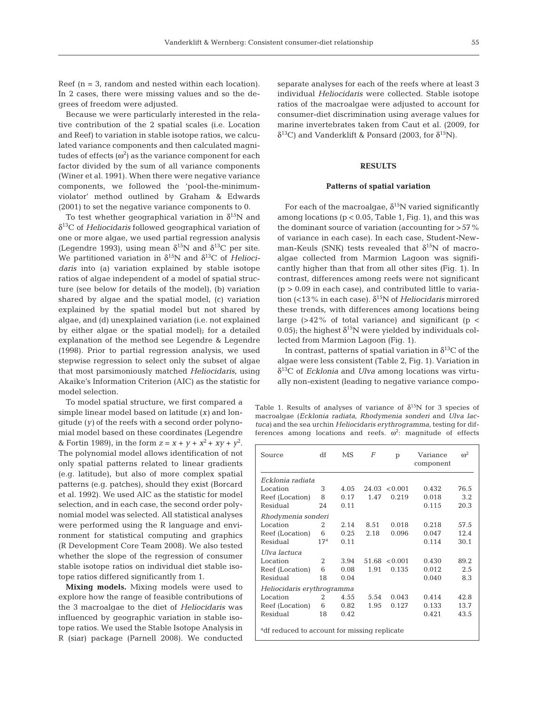Reef  $(n = 3,$  random and nested within each location). In 2 cases, there were missing values and so the degrees of freedom were adjusted.

Because we were particularly interested in the relative contribution of the 2 spatial scales (i.e. Location and Reef) to variation in stable isotope ratios, we calculated variance components and then calculated magnitudes of effects ( $\omega^2$ ) as the variance component for each factor divided by the sum of all variance components (Winer et al. 1991). When there were negative variance components, we followed the 'pool-the-minimumviolator' method outlined by Graham & Edwards (2001) to set the negative variance components to 0.

To test whether geographical variation in  $\delta^{15}N$  and δ13C of *Heliocidaris* followed geographical variation of one or more algae, we used partial regression analysis (Legendre 1993), using mean  $\delta^{15}N$  and  $\delta^{13}C$  per site. We partitioned variation in  $\delta^{15}N$  and  $\delta^{13}C$  of *Heliocidaris* into (a) variation explained by stable isotope ratios of algae independent of a model of spatial structure (see below for details of the model), (b) variation shared by algae and the spatial model, (c) variation explained by the spatial model but not shared by algae, and (d) unexplained variation (i.e. not explained by either algae or the spatial model); for a detailed explanation of the method see Legendre & Legendre (1998). Prior to partial regression analysis, we used stepwise regression to select only the subset of algae that most parsimoniously matched *Heliocidaris*, using Akaike's Information Criterion (AIC) as the statistic for model selection.

To model spatial structure, we first compared a simple linear model based on latitude (*x)* and longitude (*y)* of the reefs with a second order polynomial model based on these coordinates (Legendre & Fortin 1989), in the form  $z = x + y + x^2 + xy + y^2$ . The polynomial model allows identification of not only spatial patterns related to linear gradients (e.g. latitude), but also of more complex spatial patterns (e.g. patches), should they exist (Borcard et al. 1992). We used AIC as the statistic for model selection, and in each case, the second order polynomial model was selected. All statistical analyses were performed using the R language and environment for statistical computing and graphics (R Development Core Team 2008). We also tested whether the slope of the regression of consumer stable isotope ratios on individual diet stable isotope ratios differed significantly from 1.

**Mixing models.** Mixing models were used to explore how the range of feasible contributions of the 3 macroalgae to the diet of *Heliocidaris* was influenced by geographic variation in stable isotope ratios. We used the Stable Isotope Analysis in R (siar) package (Parnell 2008). We conducted

separate analyses for each of the reefs where at least 3 individual *Heliocidaris* were collected. Stable isotope ratios of the macroalgae were adjusted to account for consumer-diet discrimination using average values for marine invertebrates taken from Caut et al. (2009, for  $\delta^{13}$ C) and Vanderklift & Ponsard (2003, for δ<sup>15</sup>N).

# **RESULTS**

# **Patterns of spatial variation**

For each of the macroalgae,  $\delta^{15}$ N varied significantly among locations ( $p < 0.05$ , Table 1, Fig. 1), and this was the dominant source of variation (accounting for >57% of variance in each case). In each case, Student-Newman-Keuls (SNK) tests revealed that  $\delta^{15}N$  of macroalgae collected from Marmion Lagoon was significantly higher than that from all other sites (Fig. 1). In contrast, differences among reefs were not significant  $(p > 0.09$  in each case), and contributed little to variation (<13% in each case).  $δ$ <sup>15</sup>N of *Heliocidaris* mirrored these trends, with differences among locations being large  $(>42\%$  of total variance) and significant (p < 0.05); the highest  $\delta^{15}N$  were yielded by individuals collected from Marmion Lagoon (Fig. 1).

In contrast, patterns of spatial variation in  $\delta^{13}C$  of the algae were less consistent (Table 2, Fig. 1). Variation in δ13C of *Ecklonia* and *Ulva* among locations was virtually non-existent (leading to negative variance compo-

Table 1. Results of analyses of variance of  $\delta^{15}N$  for 3 species of macroalgae (*Ecklonia radiata*, *Rhodymenia sonderi* and *Ulva lactuca)* and the sea urchin *Heliocidaris erythrogramma*, testing for differences among locations and reefs.  $\omega^2$ : magnitude of effects

| Source                                                   | df              | MS   | F     | p             | Variance<br>component | $\omega^2$ |  |  |
|----------------------------------------------------------|-----------------|------|-------|---------------|-----------------------|------------|--|--|
| Ecklonia radiata                                         |                 |      |       |               |                       |            |  |  |
| Location                                                 | 3               | 4.05 | 24.03 | < 0.001       | 0.432                 | 76.5       |  |  |
| Reef (Location)                                          | 8               | 0.17 | 1.47  | 0.219         | 0.018                 | 3.2        |  |  |
| Residual                                                 | 24              | 0.11 |       |               | 0.115                 | 20.3       |  |  |
| Rhodymenia sonderi                                       |                 |      |       |               |                       |            |  |  |
| Location                                                 | 2               | 2.14 | 8.51  | 0.018         | 0.218                 | 57.5       |  |  |
| Reef (Location)                                          | 6               | 0.25 | 2.18  | 0.096         | 0.047                 | 12.4       |  |  |
| Residual                                                 | 17 <sup>a</sup> | 0.11 |       |               | 0.114                 | 30.1       |  |  |
| Ulva lactuca                                             |                 |      |       |               |                       |            |  |  |
| Location                                                 | 2               | 3.94 |       | 51.68 < 0.001 | 0.430                 | 89.2       |  |  |
| Reef (Location)                                          | 6               | 0.08 | 1.91  | 0.135         | 0.012                 | 2.5        |  |  |
| Residual                                                 | 18              | 0.04 |       |               | 0.040                 | 8.3        |  |  |
| Heliocidaris erythrogramma                               |                 |      |       |               |                       |            |  |  |
| Location                                                 | 2               | 4.55 | 5.54  | 0.043         | 0.414                 | 42.8       |  |  |
| Reef (Location)                                          | 6               | 0.82 | 1.95  | 0.127         | 0.133                 | 13.7       |  |  |
| Residual                                                 | 18              | 0.42 |       |               | 0.421                 | 43.5       |  |  |
| <sup>a</sup> df reduced to account for missing replicate |                 |      |       |               |                       |            |  |  |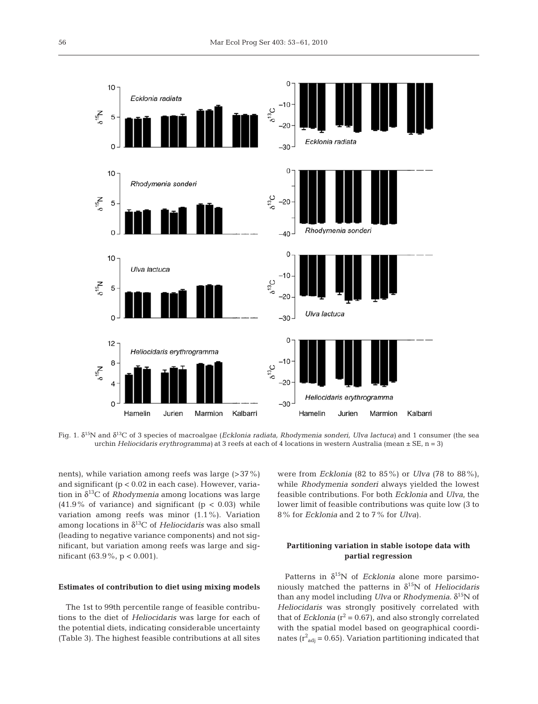

Fig. 1. δ15N and δ13C of 3 species of macroalgae (*Ecklonia radiata, Rhodymenia sonderi, Ulva lactuca)* and 1 consumer (the sea urchin *Heliocidaris erythrogramma)* at 3 reefs at each of 4 locations in western Australia (mean ± SE, n = 3)

nents), while variation among reefs was large (>37%) and significant (p < 0.02 in each case). However, variation in  $\delta^{13}$ C of *Rhodymenia* among locations was large  $(41.9\%$  of variance) and significant  $(p < 0.03)$  while variation among reefs was minor (1.1%). Variation among locations in δ13C of *Heliocidaris* was also small (leading to negative variance components) and not significant, but variation among reefs was large and significant (63.9%, p < 0.001).

# **Estimates of contribution to diet using mixing models**

The 1st to 99th percentile range of feasible contributions to the diet of *Heliocidaris* was large for each of the potential diets, indicating considerable uncertainty (Table 3). The highest feasible contributions at all sites were from *Ecklonia* (82 to 85%) or *Ulva* (78 to 88%), while *Rhodymenia sonderi* always yielded the lowest feasible contributions. For both *Ecklonia* and *Ulva*, the lower limit of feasible contributions was quite low (3 to 8% for *Ecklonia* and 2 to 7% for *Ulva*).

# **Partitioning variation in stable isotope data with partial regression**

Patterns in  $\delta^{15}N$  of *Ecklonia* alone more parsimoniously matched the patterns in  $\delta^{15}N$  of *Heliocidaris* than any model including *Ulva* or *Rhodymenia*.  $δ<sup>15</sup>N$  of *Heliocidaris* was strongly positively correlated with that of *Ecklonia* ( $r^2 = 0.67$ ), and also strongly correlated with the spatial model based on geographical coordinates ( $r^2_{\text{adj}}$  = 0.65). Variation partitioning indicated that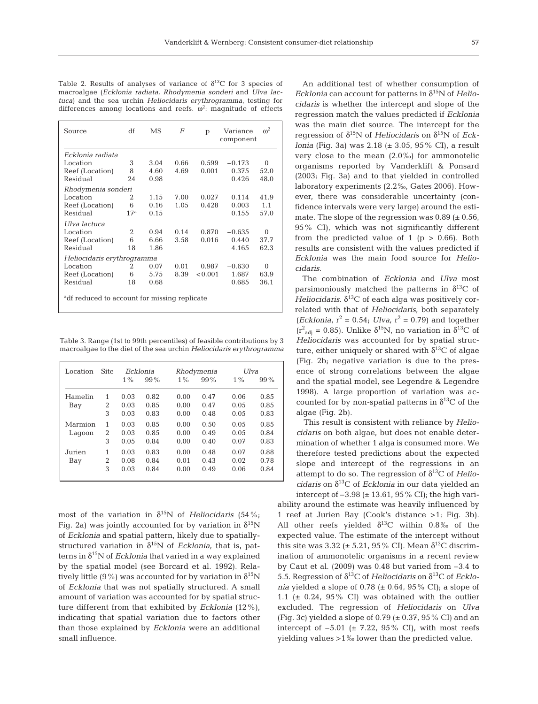| Table 2. Results of analyses of variance of $\delta^{13}C$ for 3 species of |  |
|-----------------------------------------------------------------------------|--|
| macroalgae (Ecklonia radiata, Rhodymenia sonderi and Ulva lac-              |  |
| tuca) and the sea urchin <i>Heliocidaris</i> erythrogramma, testing for     |  |
| differences among locations and reefs. $\omega^2$ : magnitude of effects    |  |

| Source                                                   | df              | MS   | F    | p       | Variance<br>component | $\omega^2$ |  |
|----------------------------------------------------------|-----------------|------|------|---------|-----------------------|------------|--|
| Ecklonia radiata                                         |                 |      |      |         |                       |            |  |
| Location                                                 | 3               | 3.04 | 0.66 | 0.599   | $-0.173$              | 0          |  |
| Reef (Location)                                          | 8               | 4.60 | 4.69 | 0.001   | 0.375                 | 52.0       |  |
| Residual                                                 | 24              | 0.98 |      |         | 0.426                 | 48.0       |  |
| Rhodymenia sonderi                                       |                 |      |      |         |                       |            |  |
| Location                                                 | 2               | 1.15 | 7.00 | 0.027   | 0.114                 | 41.9       |  |
| Reef (Location)                                          | 6               | 0.16 | 1.05 | 0.428   | 0.003                 | 1.1        |  |
| Residual                                                 | 17 <sup>a</sup> | 0.15 |      |         | 0.155                 | 57.0       |  |
| Ulva lactuca                                             |                 |      |      |         |                       |            |  |
| Location                                                 | 2               | 0.94 | 0.14 | 0.870   | $-0.635$              | 0          |  |
| Reef (Location)                                          | 6               | 6.66 | 3.58 | 0.016   | 0.440                 | 37.7       |  |
| Residual                                                 | 18              | 1.86 |      |         | 4.165                 | 62.3       |  |
| Heliocidaris erythrogramma                               |                 |      |      |         |                       |            |  |
| Location                                                 | 2               | 0.07 | 0.01 | 0.987   | $-0.630$              | 0          |  |
| Reef (Location)                                          | 6               | 5.75 | 8.39 | < 0.001 | 1.687                 | 63.9       |  |
| Residual                                                 | 18              | 0.68 |      |         | 0.685                 | 36.1       |  |
| <sup>a</sup> df reduced to account for missing replicate |                 |      |      |         |                       |            |  |

Table 3. Range (1st to 99th percentiles) of feasible contributions by 3 macroalgae to the diet of the sea urchin *Heliocidaris erythrogramma*

| Location | Site           | Ecklonia |        | Rhodymenia |        | Ulva  |        |
|----------|----------------|----------|--------|------------|--------|-------|--------|
|          |                | $1\%$    | $99\%$ | $1\%$      | $99\%$ | $1\%$ | $99\%$ |
| Hamelin  | 1              | 0.03     | 0.82   | 0.00       | 0.47   | 0.06  | 0.85   |
| Bay      | 2              | 0.03     | 0.85   | 0.00       | 0.47   | 0.05  | 0.85   |
|          | 3              | 0.03     | 0.83   | 0.00       | 0.48   | 0.05  | 0.83   |
| Marmion  | 1              | 0.03     | 0.85   | 0.00       | 0.50   | 0.05  | 0.85   |
| Lagoon   | $\overline{2}$ | 0.03     | 0.85   | 0.00       | 0.49   | 0.05  | 0.84   |
|          | 3              | 0.05     | 0.84   | 0.00       | 0.40   | 0.07  | 0.83   |
| Jurien   | 1              | 0.03     | 0.83   | 0.00       | 0.48   | 0.07  | 0.88   |
| Bay      | 2              | 0.08     | 0.84   | 0.01       | 0.43   | 0.02  | 0.78   |
|          | 3              | 0.03     | 0.84   | 0.00       | 0.49   | 0.06  | 0.84   |
|          |                |          |        |            |        |       |        |

most of the variation in  $\delta^{15}N$  of *Heliocidaris* (54%; Fig. 2a) was jointly accounted for by variation in  $\delta^{15}N$ of *Ecklonia* and spatial pattern, likely due to spatiallystructured variation in  $\delta^{15}N$  of *Ecklonia*, that is, patterns in  $\delta^{15}N$  of *Ecklonia* that varied in a way explained by the spatial model (see Borcard et al. 1992). Relatively little (9%) was accounted for by variation in  $\delta^{15}N$ of *Ecklonia* that was not spatially structured. A small amount of variation was accounted for by spatial structure different from that exhibited by *Ecklonia* (12%), indicating that spatial variation due to factors other than those explained by *Ecklonia* were an additional small influence.

An additional test of whether consumption of  $Ecklonia$  can account for patterns in  $\delta^{15}$ N of *Heliocidaris* is whether the intercept and slope of the regression match the values predicted if *Ecklonia* was the main diet source. The intercept for the regression of  $\delta^{15}N$  of *Heliocidaris* on  $\delta^{15}N$  of *Ecklonia* (Fig. 3a) was 2.18 (± 3.05, 95% CI), a result very close to the mean (2.0‰) for ammonotelic organisms reported by Vanderklift & Ponsard (2003; Fig. 3a) and to that yielded in controlled laboratory experiments (2.2‰, Gates 2006). However, there was considerable uncertainty (confidence intervals were very large) around the estimate. The slope of the regression was  $0.89$  ( $\pm$  0.56, 95% CI), which was not significantly different from the predicted value of 1 ( $p > 0.66$ ). Both results are consistent with the values predicted if *Ecklonia* was the main food source for *Heliocidaris*.

The combination of *Ecklonia* and *Ulva* most parsimoniously matched the patterns in  $\delta^{13}C$  of *Heliocidaris*.  $\delta^{13}$ C of each alga was positively correlated with that of *Heliocidaris*, both separately (*Ecklonia*,  $r^2 = 0.54$ ; *Ulva*,  $r^2 = 0.79$ ) and together ( $r^2$ <sub>adj</sub> = 0.85). Unlike  $\delta^{15}N$ , no variation in  $\delta^{13}C$  of *Heliocidaris* was accounted for by spatial structure, either uniquely or shared with  $\delta^{13}$ C of algae (Fig. 2b; negative variation is due to the presence of strong correlations between the algae and the spatial model, see Legendre & Legendre 1998). A large proportion of variation was accounted for by non-spatial patterns in  $\delta^{13}$ C of the algae (Fig. 2b).

This result is consistent with reliance by *Heliocidaris* on both algae, but does not enable determination of whether 1 alga is consumed more. We therefore tested predictions about the expected slope and intercept of the regressions in an attempt to do so. The regression of  $\delta^{13}$ C of *Heliocidaris* on  $\delta^{13}$ C of *Ecklonia* in our data yielded an intercept of  $-3.98$  ( $\pm$  13.61, 95% CI); the high vari-

ability around the estimate was heavily influenced by 1 reef at Jurien Bay (Cook's distance >1; Fig. 3b). All other reefs yielded  $\delta^{13}$ C within 0.8‰ of the expected value. The estimate of the intercept without this site was 3.32 ( $\pm$  5.21, 95% CI). Mean  $\delta^{13}C$  discrimination of ammonotelic organisms in a recent review by Caut et al. (2009) was 0.48 but varied from –3.4 to 5.5. Regression of  $\delta^{13}C$  of *Heliocidaris* on  $\delta^{13}C$  of *Ecklonia* yielded a slope of  $0.78$  ( $\pm$  0.64, 95% CI); a slope of 1.1 ( $\pm$  0.24, 95% CI) was obtained with the outlier excluded. The regression of *Heliocidaris* on *Ulva* (Fig. 3c) yielded a slope of  $0.79$  ( $\pm$  0.37, 95% CI) and an intercept of  $-5.01$  ( $\pm$  7.22, 95% CI), with most reefs yielding values >1‰ lower than the predicted value.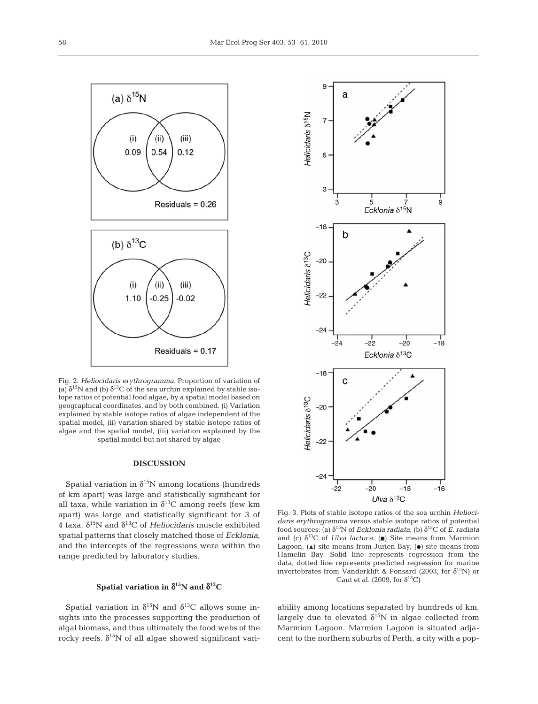

Fig. 2. *Heliocidaris erythrogramma.* Proportion of variation of (a)  $\delta^{15}$ N and (b)  $\delta^{13}$ C of the sea urchin explained by stable isotope ratios of potential food algae, by a spatial model based on geographical coordinates, and by both combined. (i) Variation explained by stable isotope ratios of algae independent of the spatial model, (ii) variation shared by stable isotope ratios of algae and the spatial model, (iii) variation explained by the spatial model but not shared by algae

# **DISCUSSION**

Spatial variation in  $\delta^{15}N$  among locations (hundreds of km apart) was large and statistically significant for all taxa, while variation in  $\delta^{13}C$  among reefs (few km apart) was large and statistically significant for 3 of 4 taxa.  $\delta^{15}N$  and  $\delta^{13}C$  of *Heliocidaris* muscle exhibited spatial patterns that closely matched those of *Ecklonia*, and the intercepts of the regressions were within the range predicted by laboratory studies.

## **Spatial variation in** δ**15N and** δ**13C**

Spatial variation in  $\delta^{15}N$  and  $\delta^{13}C$  allows some insights into the processes supporting the production of algal biomass, and thus ultimately the food webs of the rocky reefs.  $\delta^{15}N$  of all algae showed significant vari-



Fig. 3. Plots of stable isotope ratios of the sea urchin *Heliocidaris erythrogramma* versus stable isotope ratios of potential food sources: (a)  $δ<sup>15</sup>N$  of *Ecklonia radiata*, (b)  $δ<sup>13</sup>C$  of *E. radiata* and (c)  $\delta^{13}C$  of *Ulva lactuca*. (a) Site means from Marmion Lagoon,  $(\triangle)$  site means from Jurien Bay,  $(\bullet)$  site means from Hamelin Bay. Solid line represents regression from the data, dotted line represents predicted regression for marine invertebrates from Vanderklift & Ponsard (2003, for  $\delta^{15}N$ ) or Caut et al. (2009, for  $\delta^{13}$ C)

ability among locations separated by hundreds of km, largely due to elevated  $\delta^{15}N$  in algae collected from Marmion Lagoon. Marmion Lagoon is situated adjacent to the northern suburbs of Perth, a city with a pop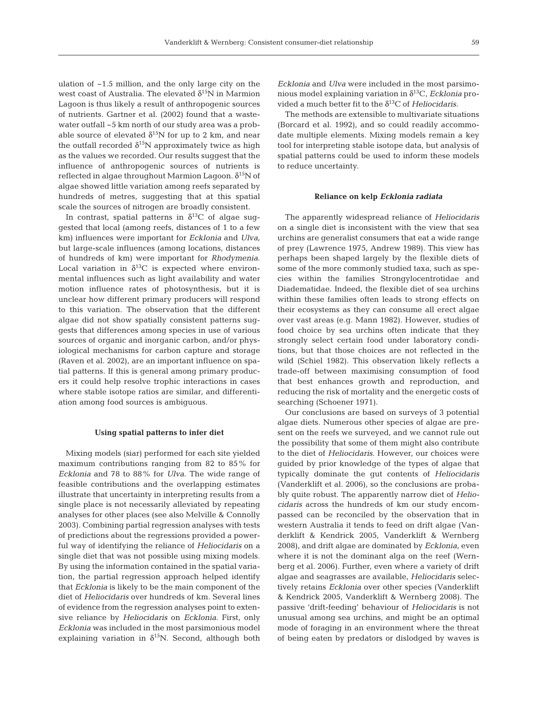ulation of ~1.5 million, and the only large city on the west coast of Australia. The elevated  $\delta^{15}N$  in Marmion Lagoon is thus likely a result of anthropogenic sources of nutrients. Gartner et al. (2002) found that a wastewater outfall ~5 km north of our study area was a probable source of elevated  $\delta^{15}N$  for up to 2 km, and near the outfall recorded  $\delta^{15}N$  approximately twice as high as the values we recorded. Our results suggest that the influence of anthropogenic sources of nutrients is reflected in algae throughout Marmion Lagoon.  $\delta^{15}N$  of algae showed little variation among reefs separated by hundreds of metres, suggesting that at this spatial scale the sources of nitrogen are broadly consistent.

In contrast, spatial patterns in  $\delta^{13}C$  of algae suggested that local (among reefs, distances of 1 to a few km) influences were important for *Ecklonia* and *Ulva*, but large-scale influences (among locations, distances of hundreds of km) were important for *Rhodymenia*. Local variation in  $\delta^{13}$ C is expected where environmental influences such as light availability and water motion influence rates of photosynthesis, but it is unclear how different primary producers will respond to this variation. The observation that the different algae did not show spatially consistent patterns suggests that differences among species in use of various sources of organic and inorganic carbon, and/or physiological mechanisms for carbon capture and storage (Raven et al. 2002), are an important influence on spatial patterns. If this is general among primary producers it could help resolve trophic interactions in cases where stable isotope ratios are similar, and differentiation among food sources is ambiguous.

# **Using spatial patterns to infer diet**

Mixing models (siar) performed for each site yielded maximum contributions ranging from 82 to 85% for *Ecklonia* and 78 to 88% for *Ulva*. The wide range of feasible contributions and the overlapping estimates illustrate that uncertainty in interpreting results from a single place is not necessarily alleviated by repeating analyses for other places (see also Melville & Connolly 2003). Combining partial regression analyses with tests of predictions about the regressions provided a powerful way of identifying the reliance of *Heliocidaris* on a single diet that was not possible using mixing models. By using the information contained in the spatial variation, the partial regression approach helped identify that *Ecklonia* is likely to be the main component of the diet of *Heliocidaris* over hundreds of km. Several lines of evidence from the regression analyses point to extensive reliance by *Heliocidaris* on *Ecklonia*. First, only *Ecklonia* was included in the most parsimonious model explaining variation in  $\delta^{15}N$ . Second, although both *Ecklonia* and *Ulva* were included in the most parsimonious model explaining variation in δ13C, *Ecklonia* provided a much better fit to the  $\delta^{13}$ C of *Heliocidaris*.

The methods are extensible to multivariate situations (Borcard et al. 1992), and so could readily accommodate multiple elements. Mixing models remain a key tool for interpreting stable isotope data, but analysis of spatial patterns could be used to inform these models to reduce uncertainty.

#### **Reliance on kelp** *Ecklonia radiata*

The apparently widespread reliance of *Heliocidaris* on a single diet is inconsistent with the view that sea urchins are generalist consumers that eat a wide range of prey (Lawrence 1975, Andrew 1989). This view has perhaps been shaped largely by the flexible diets of some of the more commonly studied taxa, such as species within the families Strongylocentrotidae and Diadematidae. Indeed, the flexible diet of sea urchins within these families often leads to strong effects on their ecosystems as they can consume all erect algae over vast areas (e.g. Mann 1982). However, studies of food choice by sea urchins often indicate that they strongly select certain food under laboratory conditions, but that those choices are not reflected in the wild (Schiel 1982). This observation likely reflects a trade-off between maximising consumption of food that best enhances growth and reproduction, and reducing the risk of mortality and the energetic costs of searching (Schoener 1971).

Our conclusions are based on surveys of 3 potential algae diets. Numerous other species of algae are present on the reefs we surveyed, and we cannot rule out the possibility that some of them might also contribute to the diet of *Heliocidaris*. However, our choices were guided by prior knowledge of the types of algae that typically dominate the gut contents of *Heliocidaris* (Vanderklift et al. 2006), so the conclusions are probably quite robust. The apparently narrow diet of *Heliocidaris* across the hundreds of km our study encompassed can be reconciled by the observation that in western Australia it tends to feed on drift algae (Vanderklift & Kendrick 2005, Vanderklift & Wernberg 2008), and drift algae are dominated by *Ecklonia*, even where it is not the dominant alga on the reef (Wernberg et al. 2006). Further, even where a variety of drift algae and seagrasses are available, *Heliocidaris* selectively retains *Ecklonia* over other species (Vanderklift & Kendrick 2005, Vanderklift & Wernberg 2008). The passive 'drift-feeding' behaviour of *Heliocidaris* is not unusual among sea urchins, and might be an optimal mode of foraging in an environment where the threat of being eaten by predators or dislodged by waves is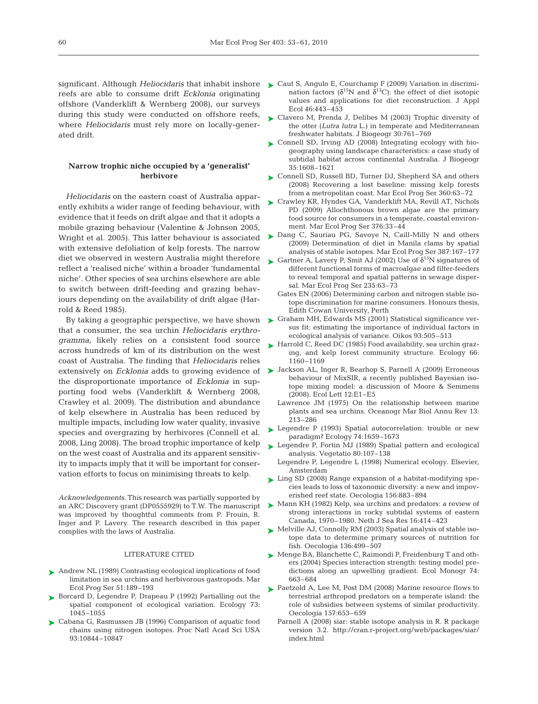reefs are able to consume drift *Ecklonia* originating offshore (Vanderklift & Wernberg 2008), our surveys during this study were conducted on offshore reefs, where *Heliocidaris* must rely more on locally-generated drift.

# **Narrow trophic niche occupied by a 'generalist' herbivore**

*Heliocidaris* on the eastern coast of Australia apparently exhibits a wider range of feeding behaviour, with evidence that it feeds on drift algae and that it adopts a mobile grazing behaviour (Valentine & Johnson 2005, with extensive defoliation of kelp forests. The narrow diet we observed in western Australia might therefore reflect a 'realised niche' within a broader 'fundamental niche'. Other species of sea urchins elsewhere are able to switch between drift-feeding and grazing behaviours depending on the availability of drift algae (Harrold & Reed 1985).

By taking a geographic perspective, we have shown that a consumer, the sea urchin *Heliocidaris erythrogramma,* likely relies on a consistent food source across hundreds of km of its distribution on the west coast of Australia. The finding that *Heliocidaris* relies the disproportionate importance of *Ecklonia* in supporting food webs (Vanderklift & Wernberg 2008, Crawley et al. 2009). The distribution and abundance of kelp elsewhere in Australia has been reduced by multiple impacts, including low water quality, invasive species and overgrazing by herbivores (Connell et al. 2008, Ling 2008). The broad trophic importance of kelp on the west coast of Australia and its apparent sensitivity to impacts imply that it will be important for conservation efforts to focus on minimising threats to kelp.

*Acknowledgements.* This research was partially supported by an ARC Discovery grant (DP0555929) to T.W. The manuscript was improved by thoughtful comments from P. Frouin, R. Inger and P. Lavery. The research described in this paper complies with the laws of Australia.

#### LITERATURE CITED

- ▶ Andrew NL (1989) Contrasting ecological implications of food limitation in sea urchins and herbivorous gastropods. Mar Ecol Prog Ser 51:189–193
- ▶ Borcard D, Legendre P, Drapeau P (1992) Partialling out the spatial component of ecological variation. Ecology 73: 1045–1055
- Cabana G, Rasmussen JB (1996) Comparison of aquatic food ➤ chains using nitrogen isotopes. Proc Natl Acad Sci USA 93:10844–10847
- significant. Although *Heliocidaris* that inhabit inshore  $\triangleright$  Caut S, Angulo E, Courchamp F (2009) Variation in discrimination factors ( $\delta^{15}N$  and  $\delta^{13}C$ ): the effect of diet isotopic values and applications for diet reconstruction. J Appl Ecol 46:443–453
	- ► Clavero M, Prenda J, Delibes M (2003) Trophic diversity of the otter (*Lutra lutra* L.) in temperate and Mediterranean freshwater habitats. J Biogeogr 30:761–769
	- Connell SD, Irving AD (2008) Integrating ecology with bio-➤ geography using landscape characteristics: a case study of subtidal habitat across continental Australia. J Biogeogr 35:1608–1621
	- ► Connell SD, Russell BD, Turner DJ, Shepherd SA and others (2008) Recovering a lost baseline: missing kelp forests from a metropolitan coast. Mar Ecol Prog Ser 360:63–72
	- ► Crawley KR, Hyndes GA, Vanderklift MA, Revill AT, Nichols PD (2009) Allochthonous brown algae are the primary food source for consumers in a temperate, coastal environment. Mar Ecol Prog Ser 376:33–44
- Wright et al. 2005). This latter behaviour is associated  $\triangleright$  Dang C, Sauriau PG, Savoye N, Caill-Milly N and others (2009) Determination of diet in Manila clams by spatial analysis of stable isotopes. Mar Ecol Prog Ser 387:167–177
	- Startner A, Lavery P, Smit AJ (2002) Use of  $\delta^{15}N$  signatures of different functional forms of macroalgae and filter-feeders to reveal temporal and spatial patterns in sewage dispersal. Mar Ecol Prog Ser 235:63–73
		- Gates EN (2006) Determining carbon and nitrogen stable isotope discrimination for marine consumers. Honours thesis, Edith Cowan University, Perth
	- ► Graham MH, Edwards MS (2001) Statistical significance versus fit: estimating the importance of individual factors in ecological analysis of variance. Oikos 93:505–513
	- ► Harrold C, Reed DC (1985) Food availability, sea urchin grazing, and kelp forest community structure. Ecology 66: 1160–1169
- extensively on *Ecklonia* adds to growing evidence of  $\blacktriangleright$  Jackson AL, Inger R, Bearhop S, Parnell A (2009) Erroneous behaviour of MixSIR, a recently published Bayesian isotope mixing model: a discussion of Moore & Semmens (2008). Ecol Lett 12:E1–E5
	- Lawrence JM (1975) On the relationship between marine plants and sea urchins. Oceanogr Mar Biol Annu Rev 13: 213–286
	- ► Legendre P (1993) Spatial autocorrelation: trouble or new paradigm? Ecology 74:1659–1673
	- ► Legendre P, Fortin MJ (1989) Spatial pattern and ecological analysis. Vegetatio 80:107–138
	- Legendre P, Legendre L (1998) Numerical ecology. Elsevier, Amsterdam
	- ► Ling SD (2008) Range expansion of a habitat-modifying species leads to loss of taxonomic diversity: a new and impoverished reef state. Oecologia 156:883–894
	- ▶ Mann KH (1982) Kelp, sea urchins and predators: a review of strong interactions in rocky subtidal systems of eastern Canada, 1970–1980. Neth J Sea Res 16:414–423
	- ► Melville AJ, Connolly RM (2003) Spatial analysis of stable isotope data to determine primary sources of nutrition for fish. Oecologia 136:499–507
	- ► Menge BA, Blanchette C, Raimondi P, Freidenburg T and others (2004) Species interaction strength: testing model predictions along an upwelling gradient. Ecol Monogr 74: 663–684
	- ▶ Paetzold A, Lee M, Post DM (2008) Marine resource flows to terrestrial arthropod predators on a temperate island: the role of subsidies between systems of similar productivity. Oecologia 157:653–659
		- Parnell A (2008) siar: stable isotope analysis in R. R package version 3.2. http://cran.r-project.org/web/packages/siar/ index.html